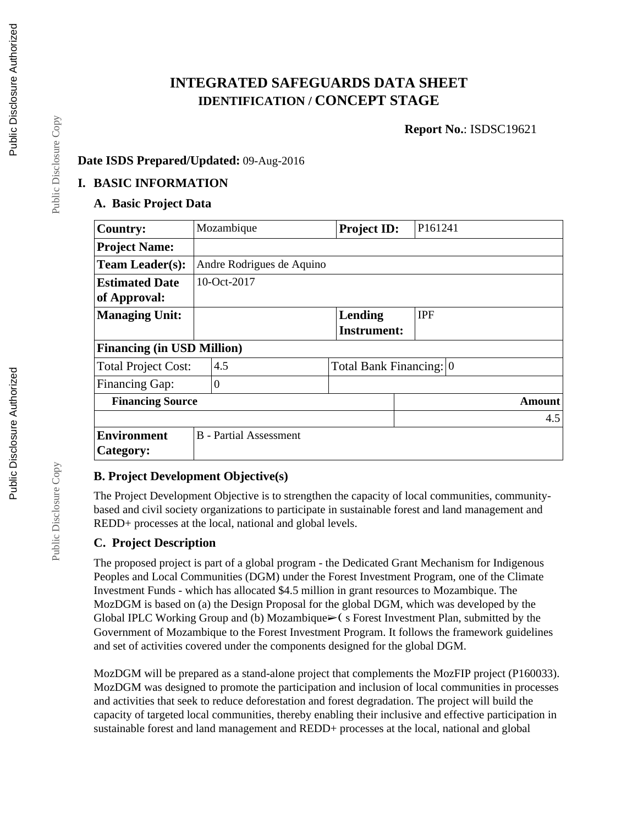## **INTEGRATED SAFEGUARDS DATA SHEET IDENTIFICATION / CONCEPT STAGE**

**Report No.**: ISDSC19621

#### **Date ISDS Prepared/Updated:** 09-Aug-2016

#### **I. BASIC INFORMATION**

## **A. Basic Project Data**

| <b>Country:</b>                   |                | Mozambique                    | <b>Project ID:</b>      | P161241    |
|-----------------------------------|----------------|-------------------------------|-------------------------|------------|
| <b>Project Name:</b>              |                |                               |                         |            |
| <b>Team Leader(s):</b>            |                | Andre Rodrigues de Aquino     |                         |            |
| <b>Estimated Date</b>             |                | 10-Oct-2017                   |                         |            |
| of Approval:                      |                |                               |                         |            |
| <b>Managing Unit:</b>             |                |                               | Lending                 | <b>IPF</b> |
|                                   |                |                               | <b>Instrument:</b>      |            |
| <b>Financing (in USD Million)</b> |                |                               |                         |            |
| <b>Total Project Cost:</b>        |                | 4.5                           | Total Bank Financing: 0 |            |
| <b>Financing Gap:</b>             | $\overline{0}$ |                               |                         |            |
| <b>Financing Source</b>           |                |                               |                         | Amount     |
|                                   |                |                               |                         | 4.5        |
| <b>Environment</b>                |                | <b>B</b> - Partial Assessment |                         |            |
| Category:                         |                |                               |                         |            |

## **B. Project Development Objective(s)**

The Project Development Objective is to strengthen the capacity of local communities, communitybased and civil society organizations to participate in sustainable forest and land management and REDD+ processes at the local, national and global levels.

## **C. Project Description**

The proposed project is part of a global program - the Dedicated Grant Mechanism for Indigenous Peoples and Local Communities (DGM) under the Forest Investment Program, one of the Climate Investment Funds - which has allocated \$4.5 million in grant resources to Mozambique. The MozDGM is based on (a) the Design Proposal for the global DGM, which was developed by the Global IPLC Working Group and (b) Mozambique $\blacktriangleright$  (s Forest Investment Plan, submitted by the Government of Mozambique to the Forest Investment Program. It follows the framework guidelines and set of activities covered under the components designed for the global DGM.

MozDGM will be prepared as a stand-alone project that complements the MozFIP project (P160033). MozDGM was designed to promote the participation and inclusion of local communities in processes and activities that seek to reduce deforestation and forest degradation. The project will build the capacity of targeted local communities, thereby enabling their inclusive and effective participation in sustainable forest and land management and REDD+ processes at the local, national and global

Public Disclosure Copy

Public Disclosure Copy

Public Disclosure Copy

Public Disclosure Copy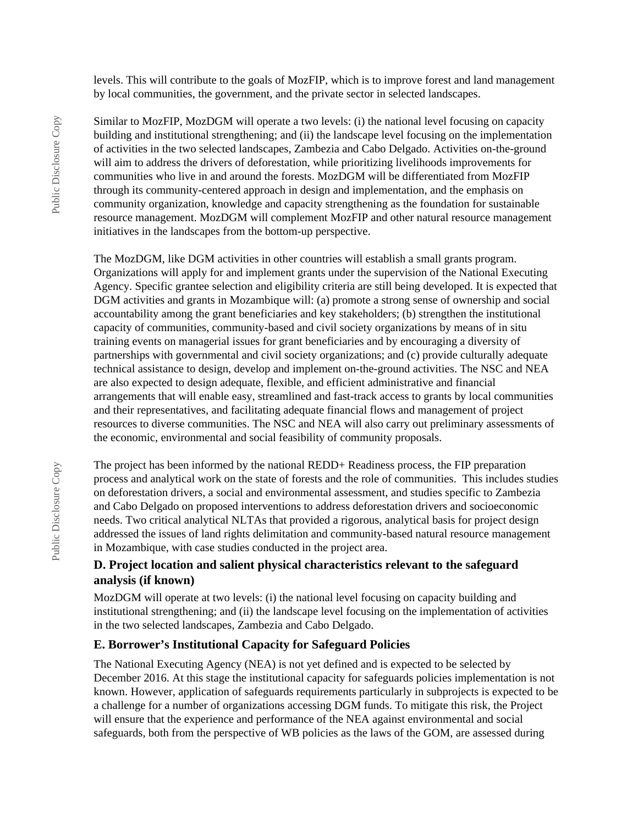levels. This will contribute to the goals of MozFIP, which is to improve forest and land management by local communities, the government, and the private sector in selected landscapes.

Similar to MozFIP, MozDGM will operate a two levels: (i) the national level focusing on capacity building and institutional strengthening; and (ii) the landscape level focusing on the implementation of activities in the two selected landscapes, Zambezia and Cabo Delgado. Activities on-the-ground will aim to address the drivers of deforestation, while prioritizing livelihoods improvements for communities who live in and around the forests. MozDGM will be differentiated from MozFIP through its community-centered approach in design and implementation, and the emphasis on community organization, knowledge and capacity strengthening as the foundation for sustainable resource management. MozDGM will complement MozFIP and other natural resource management initiatives in the landscapes from the bottom-up perspective.

The MozDGM, like DGM activities in other countries will establish a small grants program. Organizations will apply for and implement grants under the supervision of the National Executing Agency. Specific grantee selection and eligibility criteria are still being developed. It is expected that DGM activities and grants in Mozambique will: (a) promote a strong sense of ownership and social accountability among the grant beneficiaries and key stakeholders; (b) strengthen the institutional capacity of communities, community-based and civil society organizations by means of in situ training events on managerial issues for grant beneficiaries and by encouraging a diversity of partnerships with governmental and civil society organizations; and (c) provide culturally adequate technical assistance to design, develop and implement on-the-ground activities. The NSC and NEA are also expected to design adequate, flexible, and efficient administrative and financial arrangements that will enable easy, streamlined and fast-track access to grants by local communities and their representatives, and facilitating adequate financial flows and management of project resources to diverse communities. The NSC and NEA will also carry out preliminary assessments of the economic, environmental and social feasibility of community proposals.

The project has been informed by the national REDD+ Readiness process, the FIP preparation process and analytical work on the state of forests and the role of communities. This includes studies on deforestation drivers, a social and environmental assessment, and studies specific to Zambezia and Cabo Delgado on proposed interventions to address deforestation drivers and socioeconomic needs. Two critical analytical NLTAs that provided a rigorous, analytical basis for project design addressed the issues of land rights delimitation and community-based natural resource management in Mozambique, with case studies conducted in the project area.

#### **D. Project location and salient physical characteristics relevant to the safeguard analysis (if known)**

MozDGM will operate at two levels: (i) the national level focusing on capacity building and institutional strengthening; and (ii) the landscape level focusing on the implementation of activities in the two selected landscapes, Zambezia and Cabo Delgado.

#### **E. Borrower's Institutional Capacity for Safeguard Policies**

The National Executing Agency (NEA) is not yet defined and is expected to be selected by December 2016. At this stage the institutional capacity for safeguards policies implementation is not known. However, application of safeguards requirements particularly in subprojects is expected to be a challenge for a number of organizations accessing DGM funds. To mitigate this risk, the Project will ensure that the experience and performance of the NEA against environmental and social safeguards, both from the perspective of WB policies as the laws of the GOM, are assessed during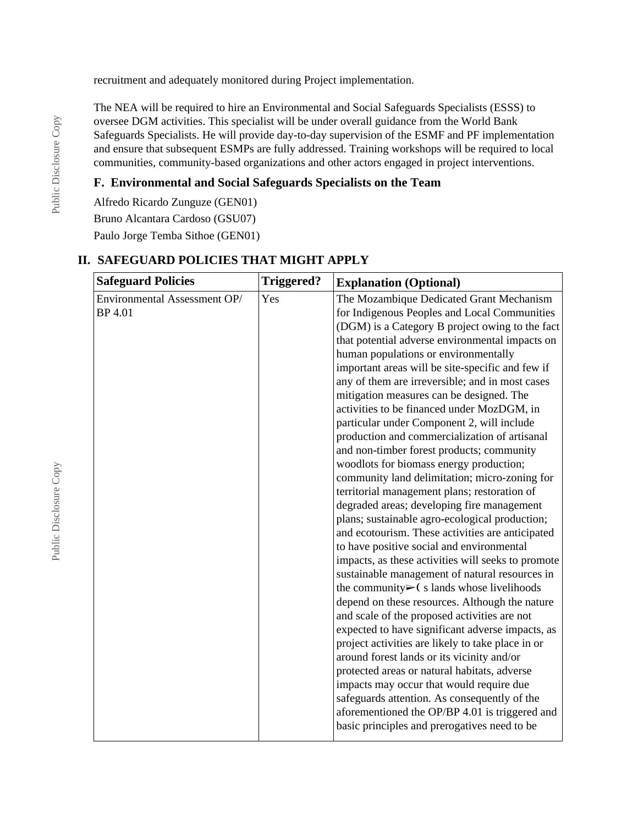recruitment and adequately monitored during Project implementation.

The NEA will be required to hire an Environmental and Social Safeguards Specialists (ESSS) to oversee DGM activities. This specialist will be under overall guidance from the World Bank Safeguards Specialists. He will provide day-to-day supervision of the ESMF and PF implementation and ensure that subsequent ESMPs are fully addressed. Training workshops will be required to local communities, community-based organizations and other actors engaged in project interventions.

## **F. Environmental and Social Safeguards Specialists on the Team**

Alfredo Ricardo Zunguze (GEN01) Bruno Alcantara Cardoso (GSU07)

Paulo Jorge Temba Sithoe (GEN01)

## **II. SAFEGUARD POLICIES THAT MIGHT APPLY**

| <b>Safeguard Policies</b>    | <b>Triggered?</b> | <b>Explanation (Optional)</b>                             |
|------------------------------|-------------------|-----------------------------------------------------------|
| Environmental Assessment OP/ | Yes               | The Mozambique Dedicated Grant Mechanism                  |
| <b>BP</b> 4.01               |                   | for Indigenous Peoples and Local Communities              |
|                              |                   | (DGM) is a Category B project owing to the fact           |
|                              |                   | that potential adverse environmental impacts on           |
|                              |                   | human populations or environmentally                      |
|                              |                   | important areas will be site-specific and few if          |
|                              |                   | any of them are irreversible; and in most cases           |
|                              |                   | mitigation measures can be designed. The                  |
|                              |                   | activities to be financed under MozDGM, in                |
|                              |                   | particular under Component 2, will include                |
|                              |                   | production and commercialization of artisanal             |
|                              |                   | and non-timber forest products; community                 |
|                              |                   | woodlots for biomass energy production;                   |
|                              |                   | community land delimitation; micro-zoning for             |
|                              |                   | territorial management plans; restoration of              |
|                              |                   | degraded areas; developing fire management                |
|                              |                   | plans; sustainable agro-ecological production;            |
|                              |                   | and ecotourism. These activities are anticipated          |
|                              |                   | to have positive social and environmental                 |
|                              |                   | impacts, as these activities will seeks to promote        |
|                              |                   | sustainable management of natural resources in            |
|                              |                   | the community $\triangleright$ (s lands whose livelihoods |
|                              |                   | depend on these resources. Although the nature            |
|                              |                   | and scale of the proposed activities are not              |
|                              |                   | expected to have significant adverse impacts, as          |
|                              |                   | project activities are likely to take place in or         |
|                              |                   | around forest lands or its vicinity and/or                |
|                              |                   | protected areas or natural habitats, adverse              |
|                              |                   | impacts may occur that would require due                  |
|                              |                   | safeguards attention. As consequently of the              |
|                              |                   | aforementioned the OP/BP 4.01 is triggered and            |
|                              |                   | basic principles and prerogatives need to be              |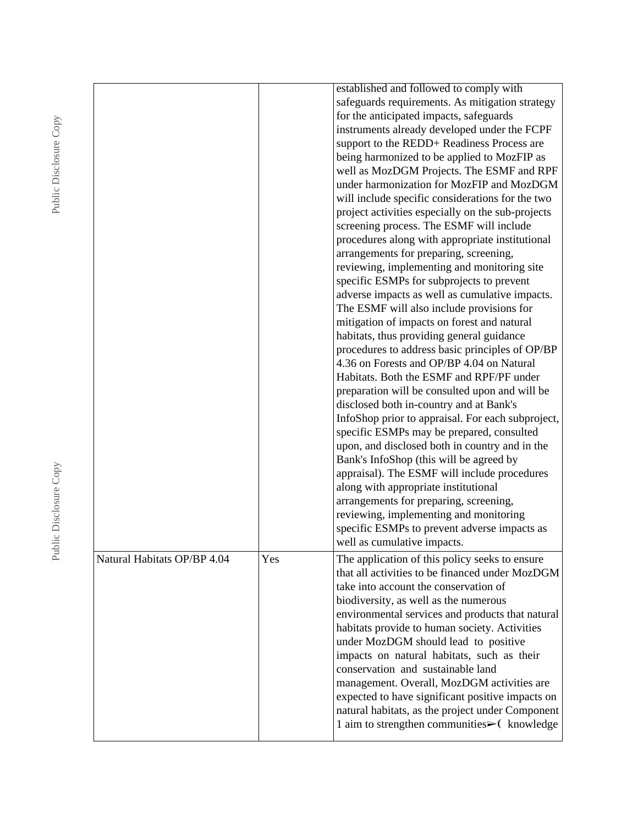| for the anticipated impacts, safeguards<br>screening process. The ESMF will include<br>arrangements for preparing, screening,<br>specific ESMPs for subprojects to prevent<br>The ESMF will also include provisions for<br>mitigation of impacts on forest and natural<br>habitats, thus providing general guidance<br>4.36 on Forests and OP/BP 4.04 on Natural<br>Habitats. Both the ESMF and RPF/PF under<br>disclosed both in-country and at Bank's<br>specific ESMPs may be prepared, consulted<br>Bank's InfoShop (this will be agreed by<br>along with appropriate institutional<br>arrangements for preparing, screening,<br>reviewing, implementing and monitoring<br>well as cumulative impacts.<br>Natural Habitats OP/BP 4.04<br>Yes<br>take into account the conservation of<br>biodiversity, as well as the numerous<br>habitats provide to human society. Activities<br>under MozDGM should lead to positive<br>impacts on natural habitats, such as their<br>conservation and sustainable land |  |                                                                                                                                                                                                                                                                                                                                                                                                                                                                                                                                                                                                                                                                                                                                                                                                                                                                                                            |
|----------------------------------------------------------------------------------------------------------------------------------------------------------------------------------------------------------------------------------------------------------------------------------------------------------------------------------------------------------------------------------------------------------------------------------------------------------------------------------------------------------------------------------------------------------------------------------------------------------------------------------------------------------------------------------------------------------------------------------------------------------------------------------------------------------------------------------------------------------------------------------------------------------------------------------------------------------------------------------------------------------------|--|------------------------------------------------------------------------------------------------------------------------------------------------------------------------------------------------------------------------------------------------------------------------------------------------------------------------------------------------------------------------------------------------------------------------------------------------------------------------------------------------------------------------------------------------------------------------------------------------------------------------------------------------------------------------------------------------------------------------------------------------------------------------------------------------------------------------------------------------------------------------------------------------------------|
|                                                                                                                                                                                                                                                                                                                                                                                                                                                                                                                                                                                                                                                                                                                                                                                                                                                                                                                                                                                                                |  | established and followed to comply with<br>safeguards requirements. As mitigation strategy<br>instruments already developed under the FCPF<br>support to the REDD+ Readiness Process are<br>being harmonized to be applied to MozFIP as<br>well as MozDGM Projects. The ESMF and RPF<br>under harmonization for MozFIP and MozDGM<br>will include specific considerations for the two<br>project activities especially on the sub-projects<br>procedures along with appropriate institutional<br>reviewing, implementing and monitoring site<br>adverse impacts as well as cumulative impacts.<br>procedures to address basic principles of OP/BP<br>preparation will be consulted upon and will be<br>InfoShop prior to appraisal. For each subproject,<br>upon, and disclosed both in country and in the<br>appraisal). The ESMF will include procedures<br>specific ESMPs to prevent adverse impacts as |
|                                                                                                                                                                                                                                                                                                                                                                                                                                                                                                                                                                                                                                                                                                                                                                                                                                                                                                                                                                                                                |  |                                                                                                                                                                                                                                                                                                                                                                                                                                                                                                                                                                                                                                                                                                                                                                                                                                                                                                            |
|                                                                                                                                                                                                                                                                                                                                                                                                                                                                                                                                                                                                                                                                                                                                                                                                                                                                                                                                                                                                                |  | The application of this policy seeks to ensure<br>that all activities to be financed under MozDGM<br>environmental services and products that natural<br>management. Overall, MozDGM activities are<br>expected to have significant positive impacts on<br>natural habitats, as the project under Component<br>1 aim to strengthen communities► (knowledge                                                                                                                                                                                                                                                                                                                                                                                                                                                                                                                                                 |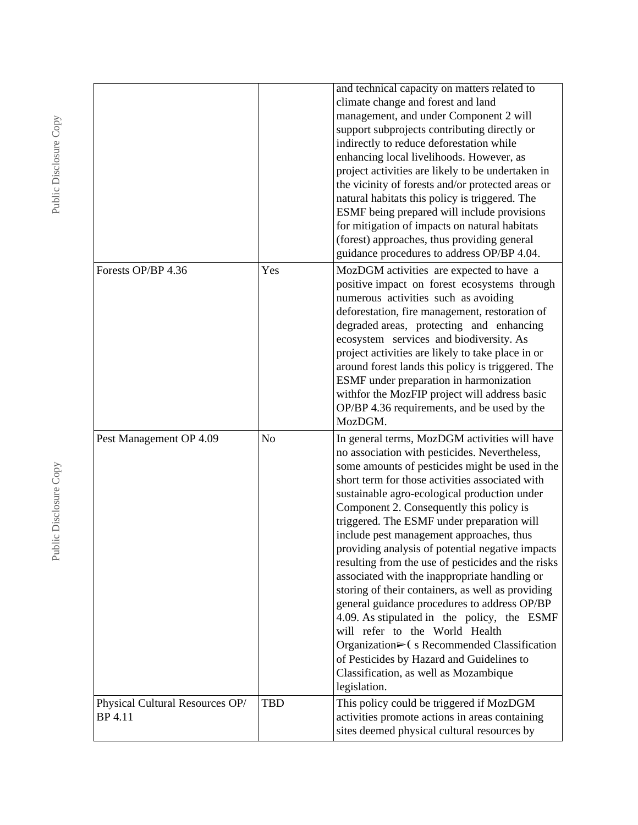|                                            |            | and technical capacity on matters related to<br>climate change and forest and land<br>management, and under Component 2 will<br>support subprojects contributing directly or<br>indirectly to reduce deforestation while<br>enhancing local livelihoods. However, as<br>project activities are likely to be undertaken in<br>the vicinity of forests and/or protected areas or<br>natural habitats this policy is triggered. The<br>ESMF being prepared will include provisions<br>for mitigation of impacts on natural habitats<br>(forest) approaches, thus providing general<br>guidance procedures to address OP/BP 4.04.                                                                                                                                                                                                                                                                                    |
|--------------------------------------------|------------|------------------------------------------------------------------------------------------------------------------------------------------------------------------------------------------------------------------------------------------------------------------------------------------------------------------------------------------------------------------------------------------------------------------------------------------------------------------------------------------------------------------------------------------------------------------------------------------------------------------------------------------------------------------------------------------------------------------------------------------------------------------------------------------------------------------------------------------------------------------------------------------------------------------|
| Forests OP/BP 4.36                         | Yes        | MozDGM activities are expected to have a<br>positive impact on forest ecosystems through<br>numerous activities such as avoiding<br>deforestation, fire management, restoration of<br>degraded areas, protecting and enhancing<br>ecosystem services and biodiversity. As<br>project activities are likely to take place in or<br>around forest lands this policy is triggered. The<br>ESMF under preparation in harmonization<br>withfor the MozFIP project will address basic<br>OP/BP 4.36 requirements, and be used by the<br>MozDGM.                                                                                                                                                                                                                                                                                                                                                                        |
| Pest Management OP 4.09                    | No         | In general terms, MozDGM activities will have<br>no association with pesticides. Nevertheless,<br>some amounts of pesticides might be used in the<br>short term for those activities associated with<br>sustainable agro-ecological production under<br>Component 2. Consequently this policy is<br>triggered. The ESMF under preparation will<br>include pest management approaches, thus<br>providing analysis of potential negative impacts<br>resulting from the use of pesticides and the risks<br>associated with the inappropriate handling or<br>storing of their containers, as well as providing<br>general guidance procedures to address OP/BP<br>4.09. As stipulated in the policy, the ESMF<br>will refer to the World Health<br>Organization $\triangleright$ (s Recommended Classification<br>of Pesticides by Hazard and Guidelines to<br>Classification, as well as Mozambique<br>legislation. |
| Physical Cultural Resources OP/<br>BP 4.11 | <b>TBD</b> | This policy could be triggered if MozDGM<br>activities promote actions in areas containing<br>sites deemed physical cultural resources by                                                                                                                                                                                                                                                                                                                                                                                                                                                                                                                                                                                                                                                                                                                                                                        |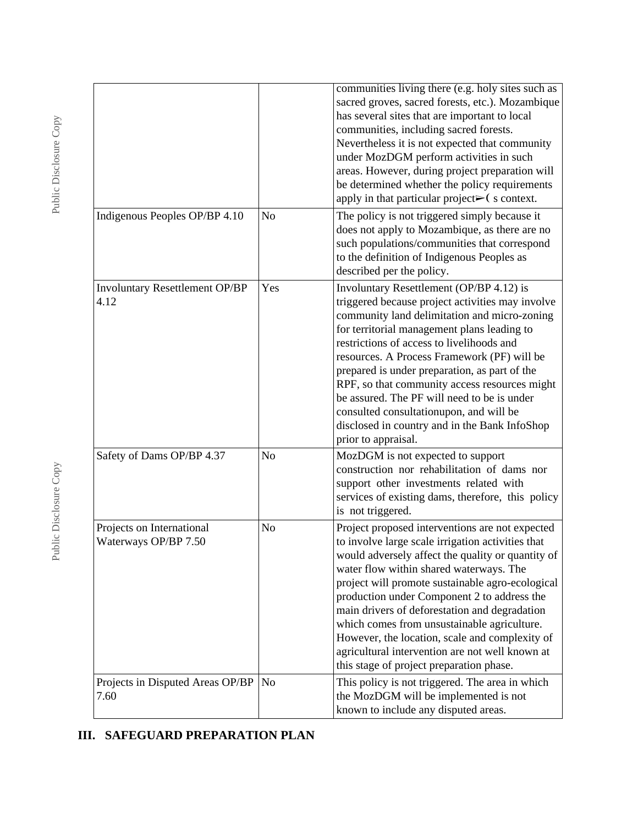|                                                   |                | communities living there (e.g. holy sites such as<br>sacred groves, sacred forests, etc.). Mozambique<br>has several sites that are important to local<br>communities, including sacred forests.<br>Nevertheless it is not expected that community<br>under MozDGM perform activities in such<br>areas. However, during project preparation will<br>be determined whether the policy requirements<br>apply in that particular project $\blacktriangleright$ (s context.                                                                                     |
|---------------------------------------------------|----------------|-------------------------------------------------------------------------------------------------------------------------------------------------------------------------------------------------------------------------------------------------------------------------------------------------------------------------------------------------------------------------------------------------------------------------------------------------------------------------------------------------------------------------------------------------------------|
| Indigenous Peoples OP/BP 4.10                     | No             | The policy is not triggered simply because it<br>does not apply to Mozambique, as there are no<br>such populations/communities that correspond<br>to the definition of Indigenous Peoples as<br>described per the policy.                                                                                                                                                                                                                                                                                                                                   |
| <b>Involuntary Resettlement OP/BP</b><br>4.12     | Yes            | Involuntary Resettlement (OP/BP 4.12) is<br>triggered because project activities may involve<br>community land delimitation and micro-zoning<br>for territorial management plans leading to<br>restrictions of access to livelihoods and<br>resources. A Process Framework (PF) will be<br>prepared is under preparation, as part of the<br>RPF, so that community access resources might<br>be assured. The PF will need to be is under<br>consulted consultationupon, and will be<br>disclosed in country and in the Bank InfoShop<br>prior to appraisal. |
| Safety of Dams OP/BP 4.37                         | No             | MozDGM is not expected to support<br>construction nor rehabilitation of dams nor<br>support other investments related with<br>services of existing dams, therefore, this policy<br>is not triggered.                                                                                                                                                                                                                                                                                                                                                        |
| Projects on International<br>Waterways OP/BP 7.50 | No             | Project proposed interventions are not expected<br>to involve large scale irrigation activities that<br>would adversely affect the quality or quantity of<br>water flow within shared waterways. The<br>project will promote sustainable agro-ecological<br>production under Component 2 to address the<br>main drivers of deforestation and degradation<br>which comes from unsustainable agriculture.<br>However, the location, scale and complexity of<br>agricultural intervention are not well known at<br>this stage of project preparation phase.    |
| Projects in Disputed Areas OP/BP<br>7.60          | N <sub>o</sub> | This policy is not triggered. The area in which<br>the MozDGM will be implemented is not<br>known to include any disputed areas.                                                                                                                                                                                                                                                                                                                                                                                                                            |

# **III. SAFEGUARD PREPARATION PLAN**

Public Disclosure Copy Public Disclosure Copy